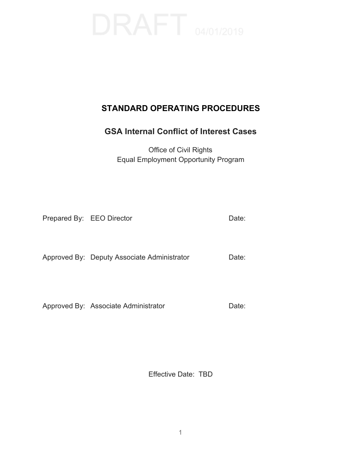# **STANDARD OPERATING PROCEDURES**

## **GSA Internal Conflict of Interest Cases**

Office of Civil Rights Equal Employment Opportunity Program

Prepared By: EEO Director Date:

Approved By: Deputy Associate Administrator Date:

Approved By: Associate Administrator **Date:** 

Effective Date: TBD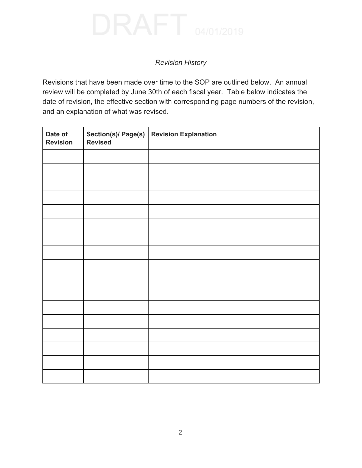### *Revision History*

Revisions that have been made over time to the SOP are outlined below. An annual review will be completed by June 30th of each fiscal year. Table below indicates the date of revision, the effective section with corresponding page numbers of the revision, and an explanation of what was revised.

| Date of<br><b>Revision</b> | Section(s)/ Page(s)<br><b>Revised</b> | <b>Revision Explanation</b> |
|----------------------------|---------------------------------------|-----------------------------|
|                            |                                       |                             |
|                            |                                       |                             |
|                            |                                       |                             |
|                            |                                       |                             |
|                            |                                       |                             |
|                            |                                       |                             |
|                            |                                       |                             |
|                            |                                       |                             |
|                            |                                       |                             |
|                            |                                       |                             |
|                            |                                       |                             |
|                            |                                       |                             |
|                            |                                       |                             |
|                            |                                       |                             |
|                            |                                       |                             |
|                            |                                       |                             |
|                            |                                       |                             |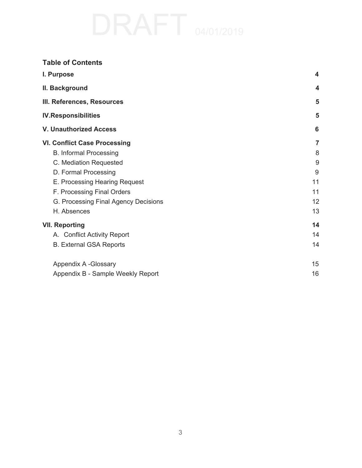| <b>Table of Contents</b>                                                                                                                                                                                                                     |                                          |
|----------------------------------------------------------------------------------------------------------------------------------------------------------------------------------------------------------------------------------------------|------------------------------------------|
| I. Purpose                                                                                                                                                                                                                                   | $\overline{\mathbf{4}}$                  |
| II. Background                                                                                                                                                                                                                               | $\boldsymbol{4}$                         |
| III. References, Resources                                                                                                                                                                                                                   | 5                                        |
| <b>IV.Responsibilities</b>                                                                                                                                                                                                                   | 5                                        |
| <b>V. Unauthorized Access</b>                                                                                                                                                                                                                | 6                                        |
| <b>VI. Conflict Case Processing</b><br><b>B. Informal Processing</b><br>C. Mediation Requested<br>D. Formal Processing<br>E. Processing Hearing Request<br>F. Processing Final Orders<br>G. Processing Final Agency Decisions<br>H. Absences | 7<br>8<br>9<br>9<br>11<br>11<br>12<br>13 |
| <b>VII. Reporting</b><br>A. Conflict Activity Report<br><b>B. External GSA Reports</b>                                                                                                                                                       | 14<br>14<br>14                           |
| Appendix A -Glossary<br>Appendix B - Sample Weekly Report                                                                                                                                                                                    | 15<br>16                                 |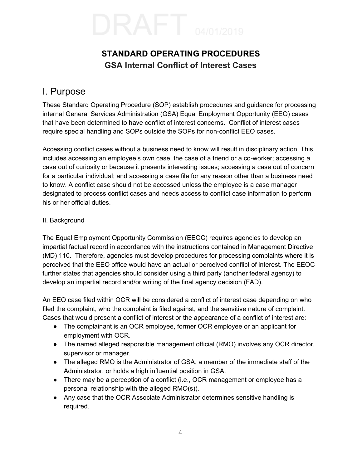# **GSA Internal Conflict of Interest Cases STANDARD OPERATING PROCEDURES**

# <span id="page-3-1"></span><span id="page-3-0"></span>I. Purpose

 These Standard Operating Procedure (SOP) establish procedures and guidance for processing internal General Services Administration (GSA) Equal Employment Opportunity (EEO) cases that have been determined to have conflict of interest concerns. Conflict of interest cases require special handling and SOPs outside the SOPs for non-conflict EEO cases.

 Accessing conflict cases without a business need to know will result in disciplinary action. This includes accessing an employee's own case, the case of a friend or a co-worker; accessing a case out of curiosity or because it presents interesting issues; accessing a case out of concern for a particular individual; and accessing a case file for any reason other than a business need to know. A conflict case should not be accessed unless the employee is a case manager designated to process conflict cases and needs access to conflict case information to perform his or her official duties.

### II. Background

 The Equal Employment Opportunity Commission (EEOC) requires agencies to develop an impartial factual record in accordance with the instructions contained in Management Directive (MD) 110. Therefore, agencies must develop procedures for processing complaints where it is perceived that the EEO office would have an actual or perceived conflict of interest. The EEOC further states that agencies should consider using a third party (another federal agency) to develop an impartial record and/or writing of the final agency decision (FAD).

 An EEO case filed within OCR will be considered a conflict of interest case depending on who filed the complaint, who the complaint is filed against, and the sensitive nature of complaint. Cases that would present a conflict of interest or the appearance of a conflict of interest are:

- ● The complainant is an OCR employee, former OCR employee or an applicant for employment with OCR.
- ● The named alleged responsible management official (RMO) involves any OCR director, supervisor or manager.
- ● The alleged RMO is the Administrator of GSA, a member of the immediate staff of the Administrator, or holds a high influential position in GSA.
- ● There may be a perception of a conflict (i.e., OCR management or employee has a personal relationship with the alleged RMO(s)).
- ● Any case that the OCR Associate Administrator determines sensitive handling is required.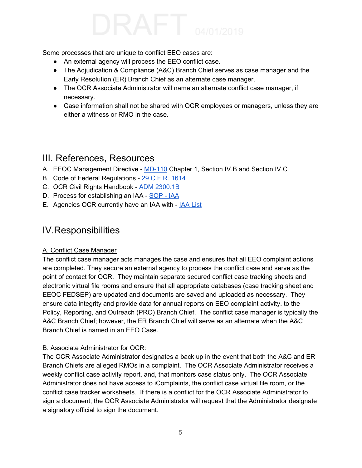Some processes that are unique to conflict EEO cases are:

- An external agency will process the EEO conflict case.
- The Adjudication & Compliance (A&C) Branch Chief serves as case manager and the Early Resolution (ER) Branch Chief as an alternate case manager.
- The OCR Associate Administrator will name an alternate conflict case manager, if necessary.
- Case information shall not be shared with OCR employees or managers, unless they are either a witness or RMO in the case.

# <span id="page-4-0"></span>III. References, Resources

- A. EEOC Management Directive [MD-110](https://www.eeoc.gov/federal/directives/md110.cfm) Chapter 1, Section IV.B and Section IV.C
- B. Code of Federal Regulations 29 [C.F.R.](https://gov.ecfr.io/cgi-bin/text-idx?SID=4b91cc663854f936299a7ab57194acc5&mc=true&node=pt29.4.1614&rgn=div5) 1614
- C. OCR Civil Rights Handbook ADM [2300.1B](https://insite.gsa.gov/cdnstatic/ADM_2300.B_Office_of_Civil_Rights_Handbook_%28Policy%29%28Posted_Version_8-8-2016%29_%23CC032162.pdf)
- D. Process for establishing an IAA SOP  [IAA](https://docs.google.com/document/d/1AR224W03q4mm8NBRHXWvefHunQISZFdoaSnRYCD7lWs/edit)
- E. Agencies OCR currently have an [IAA](https://docs.google.com/spreadsheets/d/1uwIXnZwDcpQafvsMMe7yBUVMMdU8HSKV_iV-j4GP13Q/edit#gid=188464774) with **IAA List**

# <span id="page-4-1"></span>IV.Responsibilities

### A. Conflict Case Manager

 The conflict case manager acts manages the case and ensures that all EEO complaint actions are completed. They secure an external agency to process the conflict case and serve as the point of contact for OCR. They maintain separate secured conflict case tracking sheets and electronic virtual file rooms and ensure that all appropriate databases (case tracking sheet and EEOC FEDSEP) are updated and documents are saved and uploaded as necessary. They ensure data integrity and provide data for annual reports on EEO complaint activity. to the Policy, Reporting, and Outreach (PRO) Branch Chief. The conflict case manager is typically the A&C Branch Chief; however, the ER Branch Chief will serve as an alternate when the A&C Branch Chief is named in an EEO Case.

### B. Associate Administrator for OCR:

 The OCR Associate Administrator designates a back up in the event that both the A&C and ER Branch Chiefs are alleged RMOs in a complaint. The OCR Associate Administrator receives a weekly conflict case activity report, and, that monitors case status only. The OCR Associate Administrator does not have access to iComplaints, the conflict case virtual file room, or the conflict case tracker worksheets. If there is a conflict for the OCR Associate Administrator to sign a document, the OCR Associate Administrator will request that the Administrator designate a signatory official to sign the document.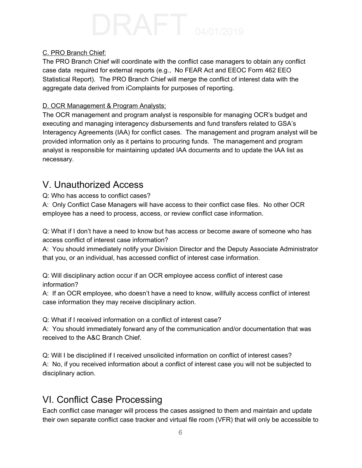### C. PRO Branch Chief:

 The PRO Branch Chief will coordinate with the conflict case managers to obtain any conflict case data required for external reports (e.g., No FEAR Act and EEOC Form 462 EEO Statistical Report). The PRO Branch Chief will merge the conflict of interest data with the aggregate data derived from iComplaints for purposes of reporting.

### D. OCR Management & Program Analysts:

 The OCR management and program analyst is responsible for managing OCR's budget and executing and managing interagency disbursements and fund transfers related to GSA's Interagency Agreements (IAA) for conflict cases. The management and program analyst will be provided information only as it pertains to procuring funds. The management and program analyst is responsible for maintaining updated IAA documents and to update the IAA list as necessary.

# <span id="page-5-0"></span>V. Unauthorized Access

Q: Who has access to conflict cases?

 A: Only Conflict Case Managers will have access to their conflict case files. No other OCR employee has a need to process, access, or review conflict case information.

 Q: What if I don't have a need to know but has access or become aware of someone who has access conflict of interest case information?

 A: You should immediately notify your Division Director and the Deputy Associate Administrator that you, or an individual, has accessed conflict of interest case information.

 Q: Will disciplinary action occur if an OCR employee access conflict of interest case information?

 A: If an OCR employee, who doesn't have a need to know, willfully access conflict of interest case information they may receive disciplinary action.

Q: What if I received information on a conflict of interest case?

 A: You should immediately forward any of the communication and/or documentation that was received to the A&C Branch Chief.

 Q: Will I be disciplined if I received unsolicited information on conflict of interest cases? A: No, if you received information about a conflict of interest case you will not be subjected to disciplinary action.

# <span id="page-5-1"></span>VI. Conflict Case Processing

 Each conflict case manager will process the cases assigned to them and maintain and update their own separate conflict case tracker and virtual file room (VFR) that will only be accessible to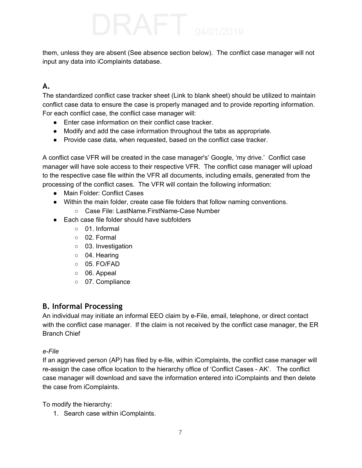them, unless they are absent (See absence section below). The conflict case manager will not input any data into iComplaints database.

## **A.**

 The standardized conflict case tracker sheet (Link to blank sheet) should be utilized to maintain conflict case data to ensure the case is properly managed and to provide reporting information. For each conflict case, the conflict case manager will:

- Enter case information on their conflict case tracker.
- Modify and add the case information throughout the tabs as appropriate.
- Provide case data, when requested, based on the conflict case tracker.

 A conflict case VFR will be created in the case manager's' Google, 'my drive.' Conflict case manager will have sole access to their respective VFR. The conflict case manager will upload to the respective case file within the VFR all documents, including emails, generated from the processing of the conflict cases. The VFR will contain the following information:

- Main Folder: Conflict Cases
- ● Within the main folder, create case file folders that follow naming conventions.
	- Case File: LastName.FirstName-Case Number
- ● Each case file folder should have subfolders
	- 01. Informal
	- 02. Formal
	- 03. Investigation
	- 04. Hearing
	- 05. FO/FAD
	- 06. Appeal
	- 07. Compliance

## <span id="page-6-0"></span> **B. Informal Processing**

 An individual may initiate an informal EEO claim by e-File, email, telephone, or direct contact with the conflict case manager. If the claim is not received by the conflict case manager, the ER Branch Chief

### *e-File*

 If an aggrieved person (AP) has filed by e-file, within iComplaints, the conflict case manager will re-assign the case office location to the hierarchy office of 'Conflict Cases - AK'. The conflict case manager will download and save the information entered into iComplaints and then delete the case from iComplaints.

To modify the hierarchy:

1. Search case within iComplaints.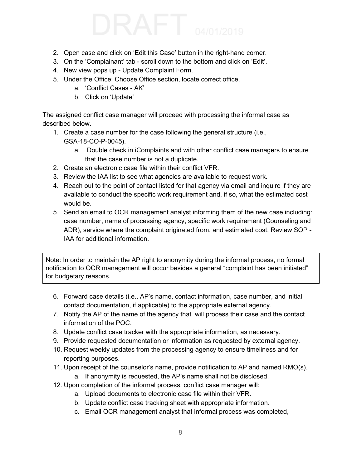- 2. Open case and click on 'Edit this Case' button in the right-hand corner.
- 3. On the 'Complainant' tab scroll down to the bottom and click on 'Edit'.
- 4. New view pops up Update Complaint Form.
- 5. Under the Office: Choose Office section, locate correct office.
	- a. 'Conflict Cases AK'
	- b. Click on 'Update'

 The assigned conflict case manager will proceed with processing the informal case as described below.

- 1. Create a case number for the case following the general structure (i.e., GSA-18-CO-P-0045).
	- a. Double check in iComplaints and with other conflict case managers to ensure that the case number is not a duplicate.
- 2. Create an electronic case file within their conflict VFR.
- 3. Review the IAA list to see what agencies are available to request work.
- 4. Reach out to the point of contact listed for that agency via email and inquire if they are available to conduct the specific work requirement and, if so, what the estimated cost would be.
- 5. Send an email to OCR management analyst informing them of the new case including: case number, name of processing agency, specific work requirement (Counseling and ADR), service where the complaint originated from, and estimated cost. Review SOP - IAA for additional information.

 Note: In order to maintain the AP right to anonymity during the informal process, no formal notification to OCR management will occur besides a general "complaint has been initiated" for budgetary reasons.

- 6. Forward case details (i.e., AP's name, contact information, case number, and initial contact documentation, if applicable) to the appropriate external agency.
- 7. Notify the AP of the name of the agency that will process their case and the contact information of the POC.
- 8. Update conflict case tracker with the appropriate information, as necessary.
- 9. Provide requested documentation or information as requested by external agency.
- 10. Request weekly updates from the processing agency to ensure timeliness and for reporting purposes.
- 11. Upon receipt of the counselor's name, provide notification to AP and named RMO(s).
	- a. If anonymity is requested, the AP's name shall not be disclosed.
- 12. Upon completion of the informal process, conflict case manager will:
	- a. Upload documents to electronic case file within their VFR.
	- b. Update conflict case tracking sheet with appropriate information.
	- c. Email OCR management analyst that informal process was completed,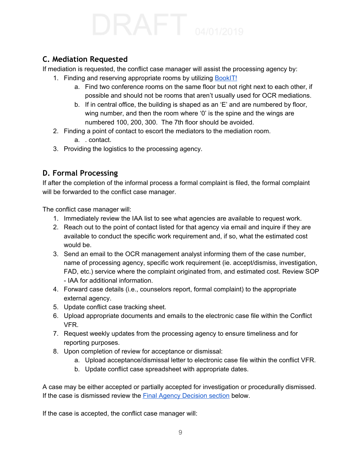## <span id="page-8-0"></span> **C. Mediation Requested**

If mediation is requested, the conflict case manager will assist the processing agency by:

- 1. Finding and reserving appropriate rooms by utilizing **[BookIT!](https://bookit.gsa.gov/mobile/auth/spnego/spnegoLogin.jsp)** 
	- a. Find two conference rooms on the same floor but not right next to each other, if possible and should not be rooms that aren't usually used for OCR mediations.
	- b. If in central office, the building is shaped as an 'E' and are numbered by floor, wing number, and then the room where '0' is the spine and the wings are numbered 100, 200, 300. The 7th floor should be avoided.
- 2. Finding a point of contact to escort the mediators to the mediation room.
	- a. . contact.
- 3. Providing the logistics to the processing agency.

## <span id="page-8-1"></span> **D. Formal Processing**

 If after the completion of the informal process a formal complaint is filed, the formal complaint will be forwarded to the conflict case manager.

The conflict case manager will:

- 1. Immediately review the IAA list to see what agencies are available to request work.
- 2. Reach out to the point of contact listed for that agency via email and inquire if they are available to conduct the specific work requirement and, if so, what the estimated cost would be.
- 3. Send an email to the OCR management analyst informing them of the case number, name of processing agency, specific work requirement (ie. accept/dismiss, investigation, FAD, etc.) service where the complaint originated from, and estimated cost. Review SOP - IAA for additional information.
- 4. Forward case details (i.e., counselors report, formal complaint) to the appropriate external agency.
- 5. Update conflict case tracking sheet.
- 6. Upload appropriate documents and emails to the electronic case file within the Conflict VFR.
- 7. Request weekly updates from the processing agency to ensure timeliness and for reporting purposes.
- 8. Upon completion of review for acceptance or dismissal:
	- a. Upload acceptance/dismissal letter to electronic case file within the conflict VFR.
	- b. Update conflict case spreadsheet with appropriate dates.

 A case may be either accepted or partially accepted for investigation or procedurally dismissed. If the case is dismissed review the **Final Agency [Decision](#page-11-0) section** below.

If the case is accepted, the conflict case manager will: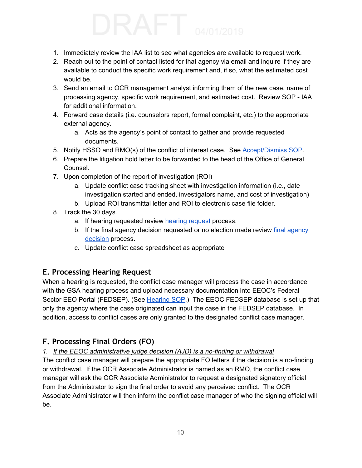- 1. Immediately review the IAA list to see what agencies are available to request work.
- 2. Reach out to the point of contact listed for that agency via email and inquire if they are available to conduct the specific work requirement and, if so, what the estimated cost would be.
- 3. Send an email to OCR management analyst informing them of the new case, name of processing agency, specific work requirement, and estimated cost. Review SOP - IAA for additional information.
- 4. Forward case details (i.e. counselors report, formal complaint, etc.) to the appropriate external agency.
	- a. Acts as the agency's point of contact to gather and provide requested documents.
- 5. Notify HSSO and RMO(s) of the conflict of interest case. See **[Accept/Dismiss](https://docs.google.com/document/d/1WieZJV0nckBSdHaFzJMk326SuYyeD9OedY8ZWjO-ZW4/edit) SOP**.
- 6. Prepare the litigation hold letter to be forwarded to the head of the Office of General Counsel.
- 7. Upon completion of the report of investigation (ROI)
	- a. Update conflict case tracking sheet with investigation information (i.e., date investigation started and ended, investigators name, and cost of investigation)
	- b. Upload ROI transmittal letter and ROI to electronic case file folder.
- 8. Track the 30 days.
	- a. If hearing [request](#page-9-0)ed review hearing request process.
	- b. If the final [agency](#page-11-0) decision requested or no election made review final agency [decision](#page-11-0) process.
	- c. Update conflict case spreadsheet as appropriate

## <span id="page-9-0"></span> **E. Processing Hearing Request**

 When a hearing is requested, the conflict case manager will process the case in accordance with the GSA hearing process and upload necessary documentation into EEOC's Federal Sector EEO Portal (FEDSEP). (See <u>[Hearing](https://docs.google.com/document/d/1MLG7n-XTvpP-9tffjdRKmwon6WbpWyskqae_7kHsoxk/edit) SOP</u>.) The EEOC FEDSEP database is set up that only the agency where the case originated can input the case in the FEDSEP database. In addition, access to conflict cases are only granted to the designated conflict case manager.

## <span id="page-9-1"></span> **F. Processing Final Orders (FO)**

 *1. If the EEOC administrative judge decision (AJD) is a no-finding or withdrawal*

 The conflict case manager will prepare the appropriate FO letters if the decision is a no-finding or withdrawal. If the OCR Associate Administrator is named as an RMO, the conflict case manager will ask the OCR Associate Administrator to request a designated signatory official from the Administrator to sign the final order to avoid any perceived conflict. The OCR Associate Administrator will then inform the conflict case manager of who the signing official will be.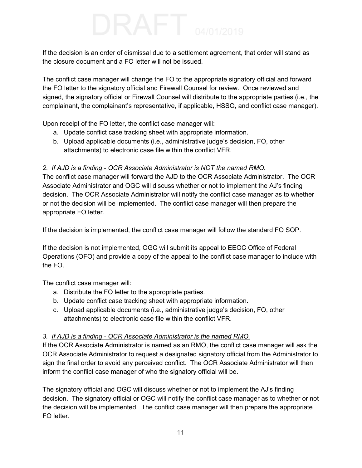If the decision is an order of dismissal due to a settlement agreement, that order will stand as the closure document and a FO letter will not be issued.

 The conflict case manager will change the FO to the appropriate signatory official and forward the FO letter to the signatory official and Firewall Counsel for review. Once reviewed and signed, the signatory official or Firewall Counsel will distribute to the appropriate parties (i.e., the complainant, the complainant's representative, if applicable, HSSO, and conflict case manager).

Upon receipt of the FO letter, the conflict case manager will:

- a. Update conflict case tracking sheet with appropriate information.
- b. Upload applicable documents (i.e., administrative judge's decision, FO, other attachments) to electronic case file within the conflict VFR.

### *2. If AJD is a finding - OCR Associate Administrator is NOT the named RMO.*

 The conflict case manager will forward the AJD to the OCR Associate Administrator. The OCR Associate Administrator and OGC will discuss whether or not to implement the AJ's finding decision. The OCR Associate Administrator will notify the conflict case manager as to whether or not the decision will be implemented. The conflict case manager will then prepare the appropriate FO letter.

If the decision is implemented, the conflict case manager will follow the standard FO SOP.

 If the decision is not implemented, OGC will submit its appeal to EEOC Office of Federal Operations (OFO) and provide a copy of the appeal to the conflict case manager to include with the FO.

The conflict case manager will:

- a. Distribute the FO letter to the appropriate parties.
- b. Update conflict case tracking sheet with appropriate information.
- c. Upload applicable documents (i.e., administrative judge's decision, FO, other attachments) to electronic case file within the conflict VFR.

### *3. If AJD is a finding - OCR Associate Administrator is the named RMO.*

 If the OCR Associate Administrator is named as an RMO, the conflict case manager will ask the OCR Associate Administrator to request a designated signatory official from the Administrator to sign the final order to avoid any perceived conflict. The OCR Associate Administrator will then inform the conflict case manager of who the signatory official will be.

 The signatory official and OGC will discuss whether or not to implement the AJ's finding decision. The signatory official or OGC will notify the conflict case manager as to whether or not the decision will be implemented. The conflict case manager will then prepare the appropriate FO letter.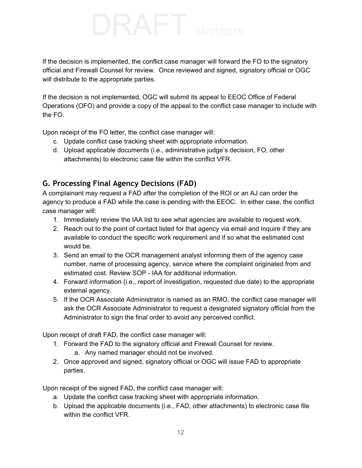If the decision is implemented, the conflict case manager will forward the FO to the signatory official and Firewall Counsel for review. Once reviewed and signed, signatory official or OGC will distribute to the appropriate parties.

 If the decision is not implemented, OGC will submit its appeal to EEOC Office of Federal Operations (OFO) and provide a copy of the appeal to the conflict case manager to include with the FO.

Upon receipt of the FO letter, the conflict case manager will:

- c. Update conflict case tracking sheet with appropriate information.
- d. Upload applicable documents (i.e., administrative judge's decision, FO, other attachments) to electronic case file within the conflict VFR.

## <span id="page-11-0"></span> **G. Processing Final Agency Decisions (FAD)**

 A complainant may request a FAD after the completion of the ROI or an AJ can order the agency to produce a FAD while the case is pending with the EEOC. In either case, the conflict case manager will:

- 1. Immediately review the IAA list to see what agencies are available to request work.
- 2. Reach out to the point of contact listed for that agency via email and inquire if they are available to conduct the specific work requirement and if so what the estimated cost would be.
- 3. Send an email to the OCR management analyst informing them of the agency case number, name of processing agency, service where the complaint originated from and estimated cost. Review SOP - IAA for additional information.
- 4. Forward information (i.e., report of investigation, requested due date) to the appropriate external agency.
- 5. If the OCR Associate Administrator is named as an RMO, the conflict case manager will ask the OCR Associate Administrator to request a designated signatory official from the Administrator to sign the final order to avoid any perceived conflict.

Upon receipt of draft FAD, the conflict case manager will:

- 1. Forward the FAD to the signatory official and Firewall Counsel for review.
	- a. Any named manager should not be involved.
- 2. Once approved and signed, signatory official or OGC will issue FAD to appropriate parties.

Upon receipt of the signed FAD, the conflict case manager will:

- a. Update the conflict case tracking sheet with appropriate information.
- b. Upload the applicable documents (i.e., FAD, other attachments) to electronic case file within the conflict VFR.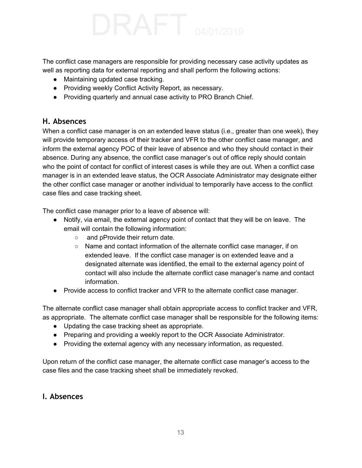The conflict case managers are responsible for providing necessary case activity updates as well as reporting data for external reporting and shall perform the following actions:

- Maintaining updated case tracking.
- Providing weekly Conflict Activity Report, as necessary.
- Providing quarterly and annual case activity to PRO Branch Chief.

### <span id="page-12-0"></span>**H. Absences**

 When a conflict case manager is on an extended leave status (i.e., greater than one week), they will provide temporary access of their tracker and VFR to the other conflict case manager, and inform the external agency POC of their leave of absence and who they should contact in their absence. During any absence, the conflict case manager's out of office reply should contain who the point of contact for conflict of interest cases is while they are out. When a conflict case manager is in an extended leave status, the OCR Associate Administrator may designate either the other conflict case manager or another individual to temporarily have access to the conflict case files and case tracking sheet.

The conflict case manager prior to a leave of absence will:

- ● Notify, via email, the external agency point of contact that they will be on leave. The email will contain the following information:
	- and pProvide their return date.
	- Name and contact information of the alternate conflict case manager, if on extended leave. If the conflict case manager is on extended leave and a designated alternate was identified, the email to the external agency point of contact will also include the alternate conflict case manager's name and contact information.
- Provide access to conflict tracker and VFR to the alternate conflict case manager.

 The alternate conflict case manager shall obtain appropriate access to conflict tracker and VFR, as appropriate. The alternate conflict case manager shall be responsible for the following items:

- Updating the case tracking sheet as appropriate.
- Preparing and providing a weekly report to the OCR Associate Administrator.
- Providing the external agency with any necessary information, as requested.

 Upon return of the conflict case manager, the alternate conflict case manager's access to the case files and the case tracking sheet shall be immediately revoked.

## **I. Absences**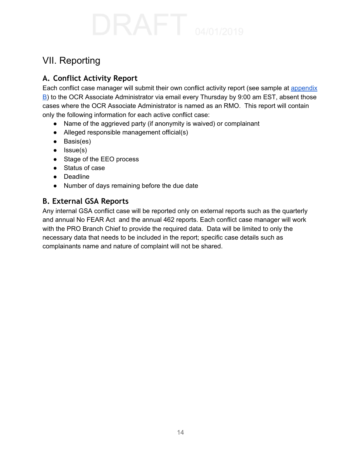# <span id="page-13-0"></span>VII. Reporting

## <span id="page-13-1"></span> **A. Conflict Activity Report**

Each conflict case manager will submit their own conflict activity report (see sample at [appendix](#page-13-2) [B\)](#page-13-2) to the OCR Associate Administrator via email every Thursday by 9:00 am EST, absent those cases where the OCR Associate Administrator is named as an RMO. This report will contain only the following information for each active conflict case:

- Name of the aggrieved party (if anonymity is waived) or complainant
- Alleged responsible management official(s)
- Basis(es)
- Issue(s)
- Stage of the EEO process
- Status of case
- Deadline
- Number of days remaining before the due date

### <span id="page-13-2"></span> **B. External GSA Reports**

 Any internal GSA conflict case will be reported only on external reports such as the quarterly and annual No FEAR Act and the annual 462 reports. Each conflict case manager will work with the PRO Branch Chief to provide the required data. Data will be limited to only the necessary data that needs to be included in the report; specific case details such as complainants name and nature of complaint will not be shared.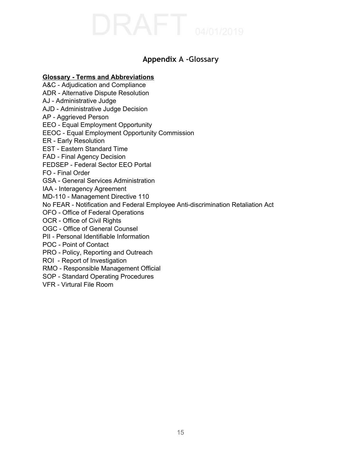## **Appendix A -Glossary**

### <span id="page-14-0"></span> **Glossary - Terms and Abbreviations**

 A&C - Adjudication and Compliance ADR - Alternative Dispute Resolution AJ - Administrative Judge AJD - Administrative Judge Decision AP - Aggrieved Person EEO - Equal Employment Opportunity EEOC - Equal Employment Opportunity Commission ER - Early Resolution EST - Eastern Standard Time FAD - Final Agency Decision FEDSEP - Federal Sector EEO Portal FO - Final Order GSA - General Services Administration IAA - Interagency Agreement MD-110 - Management Directive 110 No FEAR - Notification and Federal Employee Anti-discrimination Retaliation Act OFO - Office of Federal Operations OCR - Office of Civil Rights OGC - Office of General Counsel PII - Personal Identifiable Information POC - Point of Contact PRO - Policy, Reporting and Outreach ROI - Report of Investigation RMO - Responsible Management Official SOP - Standard Operating Procedures VFR - Virtural File Room